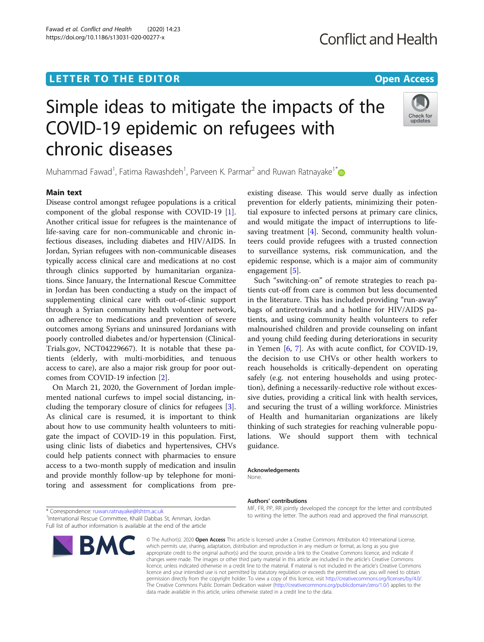# **LETTER TO THE EDITOR CONSIDERING ACCESS**

Fawad et al. Conflict and Health (2020) 14:23 https://doi.org/10.1186/s13031-020-00277-x

# Simple ideas to mitigate the impacts of the COVID-19 epidemic on refugees with chronic diseases



Muhammad Fawad<sup>1</sup>, Fatima Rawashdeh<sup>1</sup>, Parveen K. Parmar<sup>2</sup> and Ruwan Ratnayake<sup>1\*</sup>

### Main text

Disease control amongst refugee populations is a critical component of the global response with COVID-19 [\[1](#page-1-0)]. Another critical issue for refugees is the maintenance of life-saving care for non-communicable and chronic infectious diseases, including diabetes and HIV/AIDS. In Jordan, Syrian refugees with non-communicable diseases typically access clinical care and medications at no cost through clinics supported by humanitarian organizations. Since January, the International Rescue Committee in Jordan has been conducting a study on the impact of supplementing clinical care with out-of-clinic support through a Syrian community health volunteer network, on adherence to medications and prevention of severe outcomes among Syrians and uninsured Jordanians with poorly controlled diabetes and/or hypertension (Clinical-Trials.gov, NCT04229667). It is notable that these patients (elderly, with multi-morbidities, and tenuous access to care), are also a major risk group for poor outcomes from COVID-19 infection [\[2](#page-1-0)].

On March 21, 2020, the Government of Jordan implemented national curfews to impel social distancing, including the temporary closure of clinics for refugees [\[3](#page-1-0)]. As clinical care is resumed, it is important to think about how to use community health volunteers to mitigate the impact of COVID-19 in this population. First, using clinic lists of diabetics and hypertensives, CHVs could help patients connect with pharmacies to ensure access to a two-month supply of medication and insulin and provide monthly follow-up by telephone for monitoring and assessment for complications from preexisting disease. This would serve dually as infection prevention for elderly patients, minimizing their potential exposure to infected persons at primary care clinics, and would mitigate the impact of interruptions to lifesaving treatment [[4](#page-1-0)]. Second, community health volunteers could provide refugees with a trusted connection to surveillance systems, risk communication, and the epidemic response, which is a major aim of community engagement [[5\]](#page-1-0).

Such "switching-on" of remote strategies to reach patients cut-off from care is common but less documented in the literature. This has included providing "run-away" bags of antiretrovirals and a hotline for HIV/AIDS patients, and using community health volunteers to refer malnourished children and provide counseling on infant and young child feeding during deteriorations in security in Yemen [\[6](#page-1-0), [7](#page-1-0)]. As with acute conflict, for COVID-19, the decision to use CHVs or other health workers to reach households is critically-dependent on operating safely (e.g. not entering households and using protection), defining a necessarily-reductive role without excessive duties, providing a critical link with health services, and securing the trust of a willing workforce. Ministries of Health and humanitarian organizations are likely thinking of such strategies for reaching vulnerable populations. We should support them with technical guidance.

#### Acknowledgements None.

#### Authors' contributions

MF, FR, PP, RR jointly developed the concept for the letter and contributed to writing the letter. The authors read and approved the final manuscript.

\* Correspondence: [ruwan.ratnayake@lshtm.ac.uk](mailto:ruwan.ratnayake@lshtm.ac.uk) <sup>1</sup> <sup>1</sup>International Rescue Committee, Khalil Dabbas St, Amman, Jordan Full list of author information is available at the end of the article



© The Author(s), 2020 **Open Access** This article is licensed under a Creative Commons Attribution 4.0 International License, which permits use, sharing, adaptation, distribution and reproduction in any medium or format, as long as you give appropriate credit to the original author(s) and the source, provide a link to the Creative Commons licence, and indicate if changes were made. The images or other third party material in this article are included in the article's Creative Commons licence, unless indicated otherwise in a credit line to the material. If material is not included in the article's Creative Commons licence and your intended use is not permitted by statutory regulation or exceeds the permitted use, you will need to obtain permission directly from the copyright holder. To view a copy of this licence, visit [http://creativecommons.org/licenses/by/4.0/.](http://creativecommons.org/licenses/by/4.0/) The Creative Commons Public Domain Dedication waiver [\(http://creativecommons.org/publicdomain/zero/1.0/](http://creativecommons.org/publicdomain/zero/1.0/)) applies to the data made available in this article, unless otherwise stated in a credit line to the data.